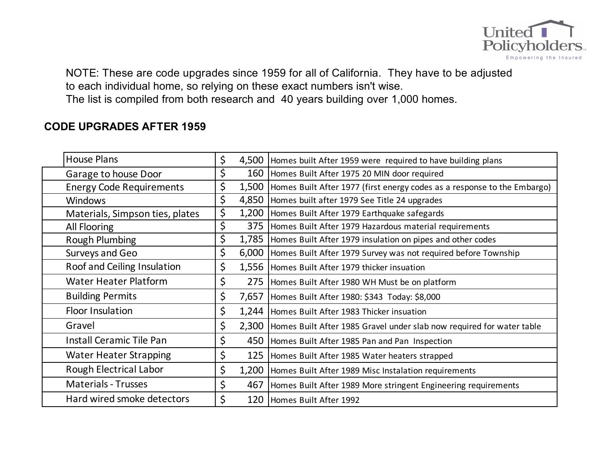

NOTE: These are code upgrades since 1959 for all of California. They have to be adjusted to each individual home, so relying on these exact numbers isn't wise. The list is compiled from both research and 40 years building over 1,000 homes.

## **CODE UPGRADES AFTER 1959**

| <b>House Plans</b>              | \$<br>4,500 | Homes built After 1959 were required to have building plans              |
|---------------------------------|-------------|--------------------------------------------------------------------------|
| Garage to house Door            | \$<br>160   | Homes Built After 1975 20 MIN door required                              |
| <b>Energy Code Requirements</b> | \$<br>1,500 | Homes Built After 1977 (first energy codes as a response to the Embargo) |
| <b>Windows</b>                  | \$<br>4,850 | Homes built after 1979 See Title 24 upgrades                             |
| Materials, Simpson ties, plates | \$<br>1,200 | Homes Built After 1979 Earthquake safegards                              |
| All Flooring                    | \$<br>375   | Homes Built After 1979 Hazardous material requirements                   |
| <b>Rough Plumbing</b>           | \$<br>1,785 | Homes Built After 1979 insulation on pipes and other codes               |
| Surveys and Geo                 | \$<br>6,000 | Homes Built After 1979 Survey was not required before Township           |
| Roof and Ceiling Insulation     | \$          | 1,556 Homes Built After 1979 thicker insuation                           |
| <b>Water Heater Platform</b>    | \$<br>275   | Homes Built After 1980 WH Must be on platform                            |
| <b>Building Permits</b>         | \$<br>7,657 | Homes Built After 1980: \$343 Today: \$8,000                             |
| Floor Insulation                | \$          | 1,244   Homes Built After 1983 Thicker insuation                         |
| Gravel                          | \$<br>2,300 | Homes Built After 1985 Gravel under slab now required for water table    |
| Install Ceramic Tile Pan        | \$<br>450   | Homes Built After 1985 Pan and Pan Inspection                            |
| <b>Water Heater Strapping</b>   | \$<br>125   | Homes Built After 1985 Water heaters strapped                            |
| Rough Electrical Labor          | \$<br>1,200 | Homes Built After 1989 Misc Instalation requirements                     |
| <b>Materials - Trusses</b>      | \$<br>467   | Homes Built After 1989 More stringent Engineering requirements           |
| Hard wired smoke detectors      | \$<br>120   | Homes Built After 1992                                                   |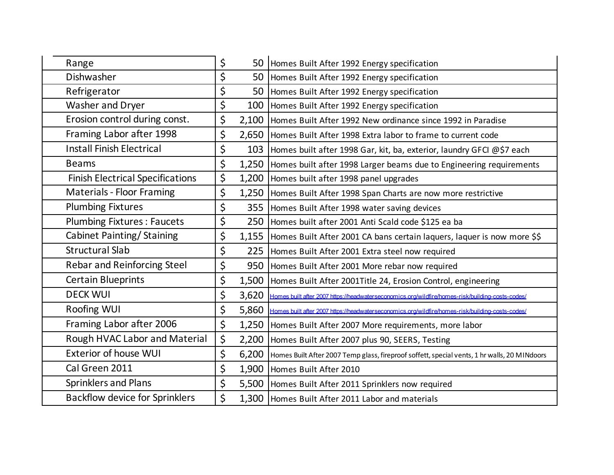| Range                                   | \$          | 50   Homes Built After 1992 Energy specification                                                 |
|-----------------------------------------|-------------|--------------------------------------------------------------------------------------------------|
| Dishwasher                              | \$<br>50    | Homes Built After 1992 Energy specification                                                      |
| Refrigerator                            | \$<br>50    | Homes Built After 1992 Energy specification                                                      |
| Washer and Dryer                        | \$<br>100   | Homes Built After 1992 Energy specification                                                      |
| Erosion control during const.           | \$<br>2,100 | Homes Built After 1992 New ordinance since 1992 in Paradise                                      |
| Framing Labor after 1998                | \$          | 2,650 Homes Built After 1998 Extra labor to frame to current code                                |
| <b>Install Finish Electrical</b>        | \$<br>103   | Homes built after 1998 Gar, kit, ba, exterior, laundry GFCI @\$7 each                            |
| <b>Beams</b>                            | \$<br>1,250 | Homes built after 1998 Larger beams due to Engineering requirements                              |
| <b>Finish Electrical Specifications</b> | \$<br>1,200 | Homes built after 1998 panel upgrades                                                            |
| <b>Materials - Floor Framing</b>        | \$          | 1,250   Homes Built After 1998 Span Charts are now more restrictive                              |
| <b>Plumbing Fixtures</b>                | \$          | 355 Homes Built After 1998 water saving devices                                                  |
| <b>Plumbing Fixtures: Faucets</b>       | \$<br>250   | Homes built after 2001 Anti Scald code \$125 ea ba                                               |
| Cabinet Painting/Staining               | \$<br>1,155 | Homes Built After 2001 CA bans certain laquers, laquer is now more \$\$                          |
| <b>Structural Slab</b>                  | \$          | 225 Homes Built After 2001 Extra steel now required                                              |
| <b>Rebar and Reinforcing Steel</b>      | \$          | 950 Homes Built After 2001 More rebar now required                                               |
| <b>Certain Blueprints</b>               | \$<br>1,500 | Homes Built After 2001Title 24, Erosion Control, engineering                                     |
| <b>DECK WUI</b>                         | \$<br>3,620 | Homes built after 2007 https://headwaterseconomics.org/wildfire/homes-risk/building-costs-codes/ |
| Roofing WUI                             | \$<br>5,860 | Homes built after 2007 https://headwaterseconomics.org/wildfire/homes-risk/building-costs-codes/ |
| Framing Labor after 2006                | \$<br>1,250 | Homes Built After 2007 More requirements, more labor                                             |
| Rough HVAC Labor and Material           | \$<br>2,200 | Homes Built After 2007 plus 90, SEERS, Testing                                                   |
| <b>Exterior of house WUI</b>            | \$<br>6,200 | Homes Built After 2007 Temp glass, fireproof soffett, special vents, 1 hr walls, 20 MINdoors     |
| Cal Green 2011                          | \$<br>1,900 | Homes Built After 2010                                                                           |
| <b>Sprinklers and Plans</b>             | \$<br>5,500 | Homes Built After 2011 Sprinklers now required                                                   |
| <b>Backflow device for Sprinklers</b>   | \$          | 1,300 Homes Built After 2011 Labor and materials                                                 |